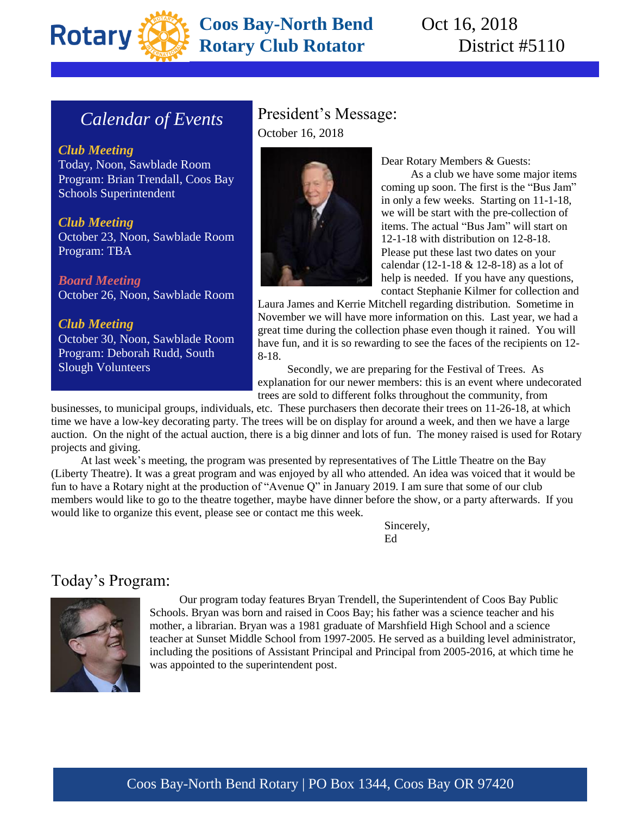

# **Coos Bay-North Bend** Oct 16, 2018 **Rotary Club Rotator** District #5110

# *Calendar of Events*

*Club Meeting* Today, Noon, Sawblade Room Program: Brian Trendall, Coos Bay Schools Superintendent

*Club Meeting* October 23, Noon, Sawblade Room Program: TBA

*Board Meeting* October 26, Noon, Sawblade Room

*Club Meeting* October 30, Noon, Sawblade Room Program: Deborah Rudd, South Slough Volunteers

### President's Message: October 16, 2018



Dear Rotary Members & Guests:

As a club we have some major items coming up soon. The first is the "Bus Jam" in only a few weeks. Starting on 11-1-18, we will be start with the pre-collection of items. The actual "Bus Jam" will start on 12-1-18 with distribution on 12-8-18. Please put these last two dates on your calendar (12-1-18 & 12-8-18) as a lot of help is needed. If you have any questions, contact Stephanie Kilmer for collection and

Laura James and Kerrie Mitchell regarding distribution. Sometime in November we will have more information on this. Last year, we had a great time during the collection phase even though it rained. You will have fun, and it is so rewarding to see the faces of the recipients on 12- 8-18.

Secondly, we are preparing for the Festival of Trees. As explanation for our newer members: this is an event where undecorated trees are sold to different folks throughout the community, from

businesses, to municipal groups, individuals, etc. These purchasers then decorate their trees on 11-26-18, at which time we have a low-key decorating party. The trees will be on display for around a week, and then we have a large auction. On the night of the actual auction, there is a big dinner and lots of fun. The money raised is used for Rotary projects and giving.

At last week's meeting, the program was presented by representatives of The Little Theatre on the Bay (Liberty Theatre). It was a great program and was enjoyed by all who attended. An idea was voiced that it would be fun to have a Rotary night at the production of "Avenue Q" in January 2019. I am sure that some of our club members would like to go to the theatre together, maybe have dinner before the show, or a party afterwards. If you would like to organize this event, please see or contact me this week.

> Sincerely, Ed

#### Today's Program:



Our program today features Bryan Trendell, the Superintendent of Coos Bay Public Schools. Bryan was born and raised in Coos Bay; his father was a science teacher and his mother, a librarian. Bryan was a 1981 graduate of Marshfield High School and a science teacher at Sunset Middle School from 1997-2005. He served as a building level administrator, including the positions of Assistant Principal and Principal from 2005-2016, at which time he was appointed to the superintendent post.